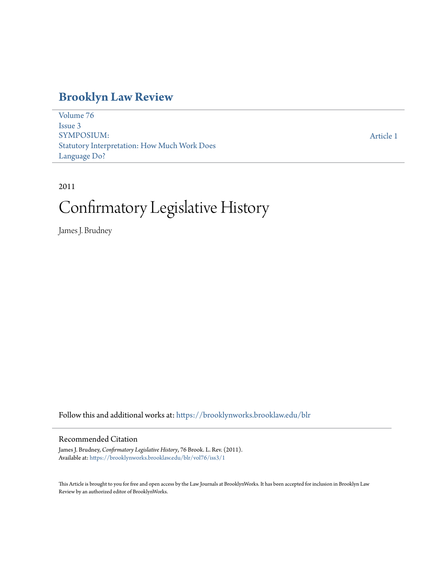# **[Brooklyn Law Review](https://brooklynworks.brooklaw.edu/blr?utm_source=brooklynworks.brooklaw.edu%2Fblr%2Fvol76%2Fiss3%2F1&utm_medium=PDF&utm_campaign=PDFCoverPages)**

[Volume 76](https://brooklynworks.brooklaw.edu/blr/vol76?utm_source=brooklynworks.brooklaw.edu%2Fblr%2Fvol76%2Fiss3%2F1&utm_medium=PDF&utm_campaign=PDFCoverPages) [Issue 3](https://brooklynworks.brooklaw.edu/blr/vol76/iss3?utm_source=brooklynworks.brooklaw.edu%2Fblr%2Fvol76%2Fiss3%2F1&utm_medium=PDF&utm_campaign=PDFCoverPages) SYMPOSIUM: Statutory Interpretation: How Much Work Does Language Do?

[Article 1](https://brooklynworks.brooklaw.edu/blr/vol76/iss3/1?utm_source=brooklynworks.brooklaw.edu%2Fblr%2Fvol76%2Fiss3%2F1&utm_medium=PDF&utm_campaign=PDFCoverPages)

# 2011

# Confirmatory Legislative History

James J. Brudney

Follow this and additional works at: [https://brooklynworks.brooklaw.edu/blr](https://brooklynworks.brooklaw.edu/blr?utm_source=brooklynworks.brooklaw.edu%2Fblr%2Fvol76%2Fiss3%2F1&utm_medium=PDF&utm_campaign=PDFCoverPages)

## Recommended Citation

James J. Brudney, *Confirmatory Legislative History*, 76 Brook. L. Rev. (2011). Available at: [https://brooklynworks.brooklaw.edu/blr/vol76/iss3/1](https://brooklynworks.brooklaw.edu/blr/vol76/iss3/1?utm_source=brooklynworks.brooklaw.edu%2Fblr%2Fvol76%2Fiss3%2F1&utm_medium=PDF&utm_campaign=PDFCoverPages)

This Article is brought to you for free and open access by the Law Journals at BrooklynWorks. It has been accepted for inclusion in Brooklyn Law Review by an authorized editor of BrooklynWorks.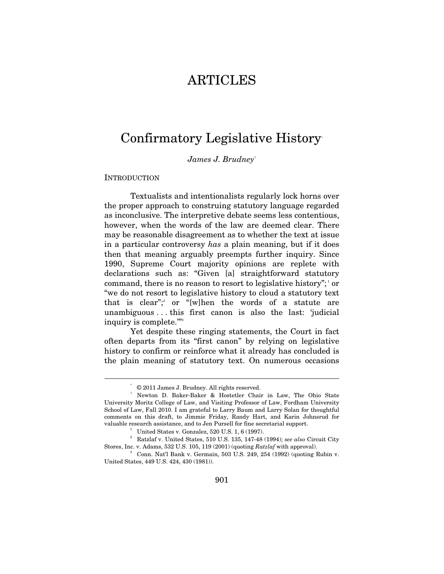# **ARTICLES**

# Confirmatory Legislative History\*

*James J. Brudney*†

#### INTRODUCTION

 $\overline{a}$ 

Textualists and intentionalists regularly lock horns over the proper approach to construing statutory language regarded as inconclusive. The interpretive debate seems less contentious, however, when the words of the law are deemed clear. There may be reasonable disagreement as to whether the text at issue in a particular controversy *has* a plain meaning, but if it does then that meaning arguably preempts further inquiry. Since 1990, Supreme Court majority opinions are replete with declarations such as: "Given [a] straightforward statutory command, there is no reason to resort to legislative history";  $\alpha$  or "we do not resort to legislative history to cloud a statutory text that is clear", or "[w]hen the words of a statute are unambiguous . . . this first canon is also the last: 'judicial inquiry is complete."

Yet despite these ringing statements, the Court in fact often departs from its "first canon" by relying on legislative history to confirm or reinforce what it already has concluded is the plain meaning of statutory text. On numerous occasions

 $© 2011 James J. Brudney. All rights reserved.$ 

<sup>†</sup> Newton D. Baker-Baker & Hostetler Chair in Law, The Ohio State University Moritz College of Law, and Visiting Professor of Law, Fordham University School of Law, Fall 2010. I am grateful to Larry Baum and Larry Solan for thoughtful comments on this draft, to Jimmie Friday, Randy Hart, and Karin Johnsrud for valuable research assistance, and to Jen Pursell for fine secretarial support. 1

 $^1$  United States v. Gonzalez, 520 U.S. 1, 6 (1997).

<sup>2</sup> Ratzlaf v. United States, 510 U.S. 135, 147-48 (1994); *see also* Circuit City Stores, Inc. v. Adams, 532 U.S. 105, 119 (2001) (quoting *Ratzlaf* with approval). 3

 $3$  Conn. Nat'l Bank v. Germain, 503 U.S. 249, 254 (1992) (quoting Rubin v. United States, 449 U.S. 424, 430 (1981)).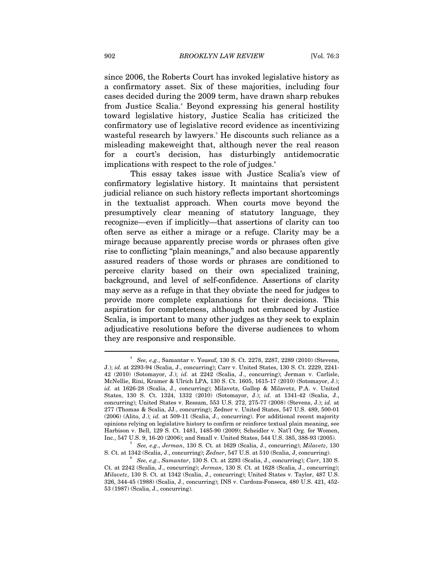since 2006, the Roberts Court has invoked legislative history as a confirmatory asset. Six of these majorities, including four cases decided during the 2009 term, have drawn sharp rebukes from Justice Scalia.<sup>4</sup> Beyond expressing his general hostility toward legislative history, Justice Scalia has criticized the confirmatory use of legislative record evidence as incentivizing wasteful research by lawyers.<sup>5</sup> He discounts such reliance as a misleading makeweight that, although never the real reason for a court's decision, has disturbingly antidemocratic implications with respect to the role of judges.<sup>6</sup>

This essay takes issue with Justice Scalia's view of confirmatory legislative history. It maintains that persistent judicial reliance on such history reflects important shortcomings in the textualist approach. When courts move beyond the presumptively clear meaning of statutory language, they recognize—even if implicitly—that assertions of clarity can too often serve as either a mirage or a refuge. Clarity may be a mirage because apparently precise words or phrases often give rise to conflicting "plain meanings," and also because apparently assured readers of those words or phrases are conditioned to perceive clarity based on their own specialized training, background, and level of self-confidence. Assertions of clarity may serve as a refuge in that they obviate the need for judges to provide more complete explanations for their decisions. This aspiration for completeness, although not embraced by Justice Scalia, is important to many other judges as they seek to explain adjudicative resolutions before the diverse audiences to whom they are responsive and responsible.

<sup>4</sup>  *See, e.g.*, Samantar v. Yousuf, 130 S. Ct. 2278, 2287, 2289 (2010) (Stevens, J.); *id.* at 2293-94 (Scalia, J., concurring); Carr v. United States, 130 S. Ct. 2229, 2241- 42 (2010) (Sotomayor, J.); *id.* at 2242 (Scalia, J., concurring); Jerman v. Carlisle, McNellie, Rini, Kramer & Ulrich LPA, 130 S. Ct. 1605, 1615-17 (2010) (Sotomayor, J.); *id.* at 1626-28 (Scalia, J., concurring); Milavetz, Gallop & Milavetz, P.A. v. United States, 130 S. Ct. 1324, 1332 (2010) (Sotomayor, J.); *id.* at 1341-42 (Scalia, J., concurring); United States v. Ressam, 553 U.S. 272, 275-77 (2008) (Stevens, J.); *id.* at 277 (Thomas & Scalia, JJ., concurring); Zedner v. United States, 547 U.S. 489, 500-01 (2006) (Alito, J.); *id.* at 509-11 (Scalia, J., concurring). For additional recent majority opinions relying on legislative history to confirm or reinforce textual plain meaning, see Harbison v. Bell, 129 S. Ct. 1481, 1485-90 (2009); Scheidler v. Nat'l Org. for Women, Inc., 547 U.S. 9, 16-20 (2006); and Small v. United States, 544 U.S. 385, 388-93 (2005). 5

*See, e.g*., *Jerman*, 130 S. Ct. at 1629 (Scalia, J., concurring); *Milavetz*, 130 S. Ct. at 1342 (Scalia, J., concurring); *Zedner*, 547 U.S. at 510 (Scalia, J, concurring). 6

*See, e.g.*, *Samantar*, 130 S. Ct. at 2293 (Scalia, J., concurring); *Carr*, 130 S. Ct. at 2242 (Scalia, J., concurring); *Jerman*, 130 S. Ct. at 1628 (Scalia, J., concurring); *Milavetz*, 130 S. Ct. at 1342 (Scalia, J., concurring); United States v. Taylor, 487 U.S. 326, 344-45 (1988) (Scalia, J., concurring); INS v. Cardoza-Fonseca, 480 U.S. 421, 452- 53 (1987) (Scalia, J., concurring).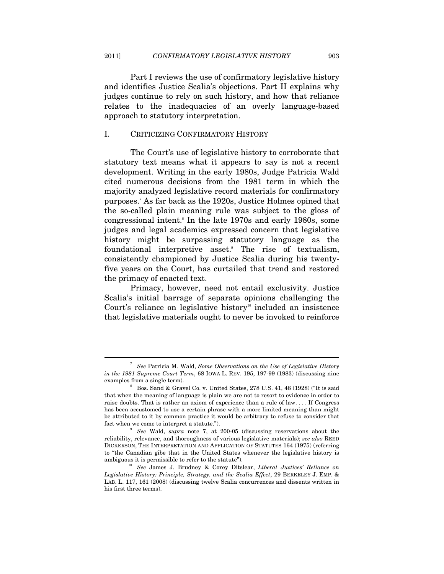Part I reviews the use of confirmatory legislative history and identifies Justice Scalia's objections. Part II explains why judges continue to rely on such history, and how that reliance relates to the inadequacies of an overly language-based approach to statutory interpretation.

#### I. CRITICIZING CONFIRMATORY HISTORY

The Court's use of legislative history to corroborate that statutory text means what it appears to say is not a recent development. Writing in the early 1980s, Judge Patricia Wald cited numerous decisions from the 1981 term in which the majority analyzed legislative record materials for confirmatory purposes.7 As far back as the 1920s, Justice Holmes opined that the so-called plain meaning rule was subject to the gloss of congressional intent.8 In the late 1970s and early 1980s, some judges and legal academics expressed concern that legislative history might be surpassing statutory language as the foundational interpretive asset.9 The rise of textualism, consistently championed by Justice Scalia during his twentyfive years on the Court, has curtailed that trend and restored the primacy of enacted text.

Primacy, however, need not entail exclusivity. Justice Scalia's initial barrage of separate opinions challenging the Court's reliance on legislative history<sup>10</sup> included an insistence that legislative materials ought to never be invoked to reinforce

<sup>7</sup>  *See* Patricia M. Wald, *Some Observations on the Use of Legislative History in the 1981 Supreme Court Term*, 68 IOWA L. REV. 195, 197-99 (1983) (discussing nine examples from a single term).

Bos. Sand & Gravel Co. v. United States, 278 U.S. 41, 48 (1928) ("It is said that when the meaning of language is plain we are not to resort to evidence in order to raise doubts. That is rather an axiom of experience than a rule of law. . . . If Congress has been accustomed to use a certain phrase with a more limited meaning than might be attributed to it by common practice it would be arbitrary to refuse to consider that fact when we come to interpret a statute.").

<sup>&</sup>lt;sup>9</sup> See Wald, *supra* note 7, at 200-05 (discussing reservations about the reliability, relevance, and thoroughness of various legislative materials); *see also* REED DICKERSON, THE INTERPRETATION AND APPLICATION OF STATUTES 164 (1975) (referring to "the Canadian gibe that in the United States whenever the legislative history is ambiguous it is permissible to refer to the statute"). 10 *See* James J. Brudney & Corey Ditslear, *Liberal Justices' Reliance on* 

*Legislative History: Principle, Strategy, and the Scalia Effect*, 29 BERKELEY J. EMP. & LAB. L. 117, 161 (2008) (discussing twelve Scalia concurrences and dissents written in his first three terms).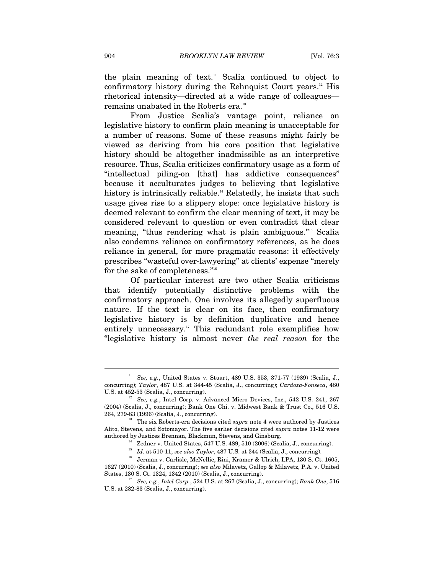the plain meaning of text.<sup>11</sup> Scalia continued to object to confirmatory history during the Rehnquist Court years.12 His rhetorical intensity—directed at a wide range of colleagues remains unabated in the Roberts era.<sup>13</sup>

From Justice Scalia's vantage point, reliance on legislative history to confirm plain meaning is unacceptable for a number of reasons. Some of these reasons might fairly be viewed as deriving from his core position that legislative history should be altogether inadmissible as an interpretive resource. Thus, Scalia criticizes confirmatory usage as a form of "intellectual piling-on [that] has addictive consequences" because it acculturates judges to believing that legislative history is intrinsically reliable.<sup>14</sup> Relatedly, he insists that such usage gives rise to a slippery slope: once legislative history is deemed relevant to confirm the clear meaning of text, it may be considered relevant to question or even contradict that clear meaning, "thus rendering what is plain ambiguous."<sup>15</sup> Scalia also condemns reliance on confirmatory references, as he does reliance in general, for more pragmatic reasons: it effectively prescribes "wasteful over-lawyering" at clients' expense "merely for the sake of completeness."16

Of particular interest are two other Scalia criticisms that identify potentially distinctive problems with the confirmatory approach. One involves its allegedly superfluous nature. If the text is clear on its face, then confirmatory legislative history is by definition duplicative and hence entirely unnecessary.<sup>17</sup> This redundant role exemplifies how "legislative history is almost never *the real reason* for the

<sup>11</sup> *See, e.g.*, United States v. Stuart, 489 U.S. 353, 371-77 (1989) (Scalia, J., concurring); *Taylor*, 487 U.S. at 344-45 (Scalia, J., concurring); *Cardoza-Fonseca*, 480

U.S. at 452-53 (Scalia, J., concurring). 12 *See, e.g.*, Intel Corp. v. Advanced Micro Devices, Inc., 542 U.S. 241, 267  $(2004)$  (Scalia, J., concurring); Bank One Chi. v. Midwest Bank & Trust Co., 516 U.S.  $264$ , 279-83 (1996) (Scalia, J., concurring).

 $13$  The six Roberts-era decisions cited *supra* note 4 were authored by Justices Alito, Stevens, and Sotomayor. The five earlier decisions cited *supra* notes 11-12 were

<sup>%</sup> authored by Justices Brennan, Blackmun, Stevens, and Ginsburg.<br>  $^{14}$  Zedner v. United States, 547 U.S. 489, 510 (2006) (Scalia, J., concurring).<br>  $^{15}$  Id. at 510-11; *see also Taylor*, 487 U.S. at 344 (Scalia, J., c 1627 (2010) (Scalia, J., concurring); *see also* Milavetz, Gallop & Milavetz, P.A. v. United States, 130 S. Ct. 1324, 1342 (2010) (Scalia, J., concurring).

<sup>17</sup> *See, e.g.*, *Intel Corp.*, 524 U.S. at 267 (Scalia, J., concurring); *Bank One*, 516 U.S. at 282-83 (Scalia, J., concurring).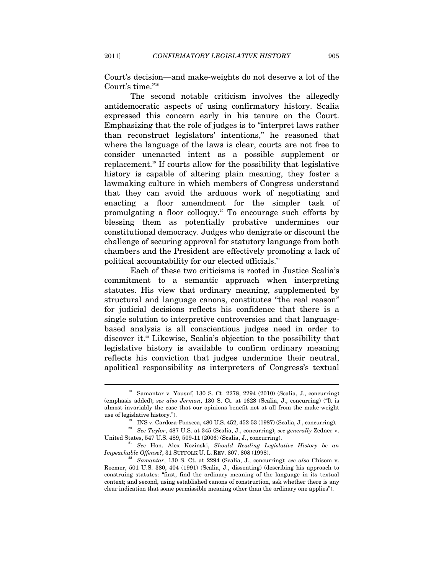Court's decision—and make-weights do not deserve a lot of the Court's time."18

The second notable criticism involves the allegedly antidemocratic aspects of using confirmatory history. Scalia expressed this concern early in his tenure on the Court. Emphasizing that the role of judges is to "interpret laws rather than reconstruct legislators' intentions," he reasoned that where the language of the laws is clear, courts are not free to consider unenacted intent as a possible supplement or replacement.19 If courts allow for the possibility that legislative history is capable of altering plain meaning, they foster a lawmaking culture in which members of Congress understand that they can avoid the arduous work of negotiating and enacting a floor amendment for the simpler task of promulgating a floor colloquy.<sup>20</sup> To encourage such efforts by blessing them as potentially probative undermines our constitutional democracy. Judges who denigrate or discount the challenge of securing approval for statutory language from both chambers and the President are effectively promoting a lack of political accountability for our elected officials.<sup>21</sup>

Each of these two criticisms is rooted in Justice Scalia's commitment to a semantic approach when interpreting statutes. His view that ordinary meaning, supplemented by structural and language canons, constitutes "the real reason" for judicial decisions reflects his confidence that there is a single solution to interpretive controversies and that languagebased analysis is all conscientious judges need in order to discover it.22 Likewise, Scalia's objection to the possibility that legislative history is available to confirm ordinary meaning reflects his conviction that judges undermine their neutral, apolitical responsibility as interpreters of Congress's textual

<sup>&</sup>lt;sup>18</sup> Samantar v. Yousuf, 130 S. Ct. 2278, 2294 (2010) (Scalia, J., concurring) (emphasis added); *see also Jerman*, 130 S. Ct. at 1628 (Scalia, J., concurring) ("It is almost invariably the case that our opinions benefit not at all from the make-weight use of legislative history.").

 $198$  v. Cardoza-Fonseca, 480 U.S. 452, 452-53 (1987) (Scalia, J., concurring).

<sup>&</sup>lt;sup>20</sup> See Taylor, 487 U.S. at 345 (Scalia, J., concurring); *see generally* Zedner v. United States, 547 U.S. 489, 509-11 (2006) (Scalia, J., concurring).

<sup>&</sup>lt;sup>21</sup> See Hon. Alex Kozinski, Should Reading Legislative History be an *Impeachable Offense?*, 31 SUFFOLK U. L. REV. 807, 808 (1998).<br><sup>22</sup> Samantar, 130 S. Ct. at 2294 (Scalia, J., concurring); *see also* Chisom v.

Roemer, 501 U.S. 380, 404 (1991) (Scalia, J., dissenting) (describing his approach to construing statutes: "first, find the ordinary meaning of the language in its textual context; and second, using established canons of construction, ask whether there is any clear indication that some permissible meaning other than the ordinary one applies").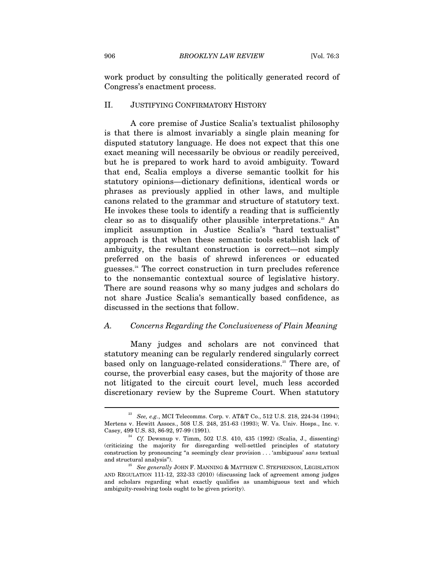work product by consulting the politically generated record of Congress's enactment process.

## II. JUSTIFYING CONFIRMATORY HISTORY

A core premise of Justice Scalia's textualist philosophy is that there is almost invariably a single plain meaning for disputed statutory language. He does not expect that this one exact meaning will necessarily be obvious or readily perceived, but he is prepared to work hard to avoid ambiguity. Toward that end, Scalia employs a diverse semantic toolkit for his statutory opinions—dictionary definitions, identical words or phrases as previously applied in other laws, and multiple canons related to the grammar and structure of statutory text. He invokes these tools to identify a reading that is sufficiently clear so as to disqualify other plausible interpretations.<sup>23</sup> An implicit assumption in Justice Scalia's "hard textualist" approach is that when these semantic tools establish lack of ambiguity, the resultant construction is correct—not simply preferred on the basis of shrewd inferences or educated guesses.24 The correct construction in turn precludes reference to the nonsemantic contextual source of legislative history. There are sound reasons why so many judges and scholars do not share Justice Scalia's semantically based confidence, as discussed in the sections that follow.

### *A. Concerns Regarding the Conclusiveness of Plain Meaning*

Many judges and scholars are not convinced that statutory meaning can be regularly rendered singularly correct based only on language-related considerations.<sup>25</sup> There are, of course, the proverbial easy cases, but the majority of those are not litigated to the circuit court level, much less accorded discretionary review by the Supreme Court. When statutory

<sup>23</sup> *See, e.g.*, MCI Telecomms. Corp. v. AT&T Co., 512 U.S. 218, 224-34 (1994); Mertens v. Hewitt Assocs., 508 U.S. 248, 251-63 (1993); W. Va. Univ. Hosps., Inc. v.

 $^{24}$  Cf. Dewsnup v. Timm, 502 U.S. 410, 435 (1992) (Scalia, J., dissenting) (criticizing the majority for disregarding well-settled principles of statutory construction by pronouncing "a seemingly clear provision . . . 'ambiguous' *sans* textual and structural analysis"). 25 *See generally* JOHN F. MANNING & MATTHEW C. STEPHENSON, LEGISLATION

AND REGULATION 111-12, 232-33 (2010) (discussing lack of agreement among judges and scholars regarding what exactly qualifies as unambiguous text and which ambiguity-resolving tools ought to be given priority).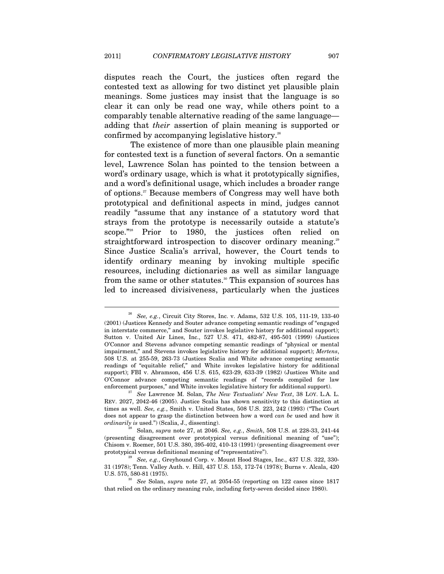disputes reach the Court, the justices often regard the contested text as allowing for two distinct yet plausible plain meanings. Some justices may insist that the language is so clear it can only be read one way, while others point to a comparably tenable alternative reading of the same language adding that *their* assertion of plain meaning is supported or confirmed by accompanying legislative history.<sup>26</sup>

The existence of more than one plausible plain meaning for contested text is a function of several factors. On a semantic level, Lawrence Solan has pointed to the tension between a word's ordinary usage, which is what it prototypically signifies, and a word's definitional usage, which includes a broader range of options.27 Because members of Congress may well have both prototypical and definitional aspects in mind, judges cannot readily "assume that any instance of a statutory word that strays from the prototype is necessarily outside a statute's scope."28 Prior to 1980, the justices often relied on straightforward introspection to discover ordinary meaning.<sup>29</sup> Since Justice Scalia's arrival, however, the Court tends to identify ordinary meaning by invoking multiple specific resources, including dictionaries as well as similar language from the same or other statutes.<sup>30</sup> This expansion of sources has led to increased divisiveness, particularly when the justices

<sup>26</sup> *See, e.g.*, Circuit City Stores, Inc. v. Adams, 532 U.S. 105, 111-19, 133-40 (2001) (Justices Kennedy and Souter advance competing semantic readings of "engaged in interstate commerce," and Souter invokes legislative history for additional support); Sutton v. United Air Lines, Inc., 527 U.S. 471, 482-87, 495-501 (1999) (Justices O'Connor and Stevens advance competing semantic readings of "physical or mental impairment," and Stevens invokes legislative history for additional support); *Mertens*, 508 U.S. at 255-59, 263-73 (Justices Scalia and White advance competing semantic readings of "equitable relief," and White invokes legislative history for additional support); FBI v. Abramson, 456 U.S. 615, 623-29, 633-39 (1982) (Justices White and O'Connor advance competing semantic readings of "records compiled for law enforcement purposes," and White invokes legislative history for additional support). 27 *See* Lawrence M. Solan, *The New Textualists' New Text*, 38 LOY. L.A. L.

REV. 2027, 2042-46 (2005). Justice Scalia has shown sensitivity to this distinction at times as well. *See, e.g.*, Smith v. United States, 508 U.S. 223, 242 (1993) ("The Court does not appear to grasp the distinction between how a word *can be* used and how it *ordinarily is* used.") (Scalia, J., dissenting). 28 Solan, *supra* note 27, at 2046. *See, e.g.*, *Smith*, 508 U.S. at 228-33, 241-44

<sup>(</sup>presenting disagreement over prototypical versus definitional meaning of "use"); Chisom v. Roemer, 501 U.S. 380, 395-402, 410-13 (1991) (presenting disagreement over prototypical versus definitional meaning of "representative"). 29 *See, e.g.*, Greyhound Corp. v. Mount Hood Stages, Inc., 437 U.S. 322, 330-

<sup>31 (1978);</sup> Tenn. Valley Auth. v. Hill, 437 U.S. 153, 172-74 (1978); Burns v. Alcala, 420 U.S. 575, 580-81 (1975). 30 *See* Solan, *supra* note 27, at 2054-55 (reporting on 122 cases since 1817

that relied on the ordinary meaning rule, including forty-seven decided since 1980).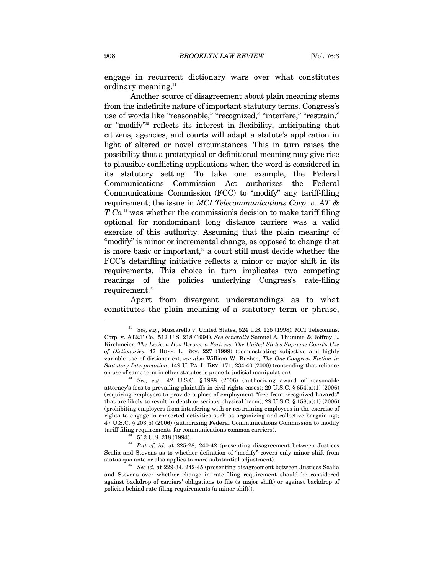engage in recurrent dictionary wars over what constitutes ordinary meaning.<sup>31</sup>

Another source of disagreement about plain meaning stems from the indefinite nature of important statutory terms. Congress's use of words like "reasonable," "recognized," "interfere," "restrain," or "modify"32 reflects its interest in flexibility, anticipating that citizens, agencies, and courts will adapt a statute's application in light of altered or novel circumstances. This in turn raises the possibility that a prototypical or definitional meaning may give rise to plausible conflicting applications when the word is considered in its statutory setting. To take one example, the Federal Communications Commission Act authorizes the Federal Communications Commission (FCC) to "modify" any tariff-filing requirement; the issue in *MCI Telecommunications Corp. v. AT & T Co.*33 was whether the commission's decision to make tariff filing optional for nondominant long distance carriers was a valid exercise of this authority. Assuming that the plain meaning of "modify" is minor or incremental change, as opposed to change that is more basic or important,<sup>34</sup> a court still must decide whether the FCC's detariffing initiative reflects a minor or major shift in its requirements. This choice in turn implicates two competing readings of the policies underlying Congress's rate-filing  $requirement.<sup>35</sup>$ 

Apart from divergent understandings as to what constitutes the plain meaning of a statutory term or phrase,

<sup>31</sup> *See, e.g.*, Muscarello v. United States, 524 U.S. 125 (1998); MCI Telecomms. Corp. v. AT&T Co., 512 U.S. 218 (1994). *See generally* Samuel A. Thumma & Jeffrey L. Kirchmeier, *The Lexicon Has Become a Fortress: The United States Supreme Court's Use of Dictionaries*, 47 BUFF. L. REV. 227 (1999) (demonstrating subjective and highly variable use of dictionaries); *see also* William W. Buzbee, *The One-Congress Fiction in Statutory Interpretation*, 149 U. PA. L. REV. 171, 234-40 (2000) (contending that reliance on use of same term in other statutes is prone to judicial manipulation). 32 *See, e.g.*, 42 U.S.C. § 1988 (2006) (authorizing award of reasonable

attorney's fees to prevailing plaintiffs in civil rights cases); 29 U.S.C. § 654(a)(1) (2006) (requiring employers to provide a place of employment "free from recognized hazards" that are likely to result in death or serious physical harm); 29 U.S.C. § 158(a)(1) (2006) (prohibiting employers from interfering with or restraining employees in the exercise of rights to engage in concerted activities such as organizing and collective bargaining); 47 U.S.C. § 203(b) (2006) (authorizing Federal Communications Commission to modify tariff-filing requirements for communications common carriers).  $33\quad 512$  U.S. 218 (1994).

<sup>34</sup> *But cf. id.* at 225-28, 240-42 (presenting disagreement between Justices Scalia and Stevens as to whether definition of "modify" covers only minor shift from status quo ante or also applies to more substantial adjustment). 35 *See id.* at 229-34, 242-45 (presenting disagreement between Justices Scalia

and Stevens over whether change in rate-filing requirement should be considered against backdrop of carriers' obligations to file (a major shift) or against backdrop of policies behind rate-filing requirements (a minor shift)).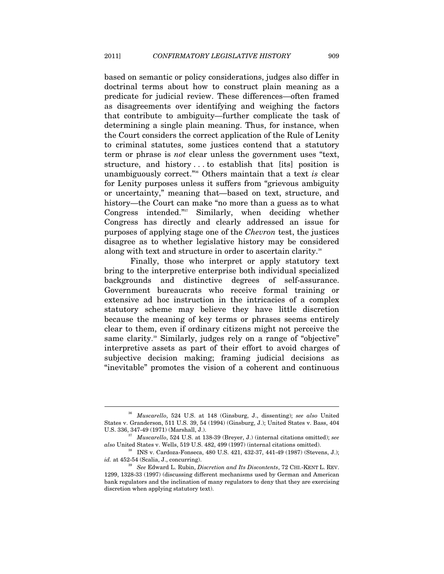based on semantic or policy considerations, judges also differ in doctrinal terms about how to construct plain meaning as a predicate for judicial review. These differences—often framed as disagreements over identifying and weighing the factors that contribute to ambiguity—further complicate the task of determining a single plain meaning. Thus, for instance, when the Court considers the correct application of the Rule of Lenity to criminal statutes, some justices contend that a statutory term or phrase is *not* clear unless the government uses "text, structure, and history . . . to establish that [its] position is unambiguously correct."36 Others maintain that a text *is* clear for Lenity purposes unless it suffers from "grievous ambiguity or uncertainty," meaning that—based on text, structure, and history—the Court can make "no more than a guess as to what Congress intended."37 Similarly, when deciding whether Congress has directly and clearly addressed an issue for purposes of applying stage one of the *Chevron* test, the justices disagree as to whether legislative history may be considered along with text and structure in order to ascertain clarity.<sup>38</sup>

Finally, those who interpret or apply statutory text bring to the interpretive enterprise both individual specialized backgrounds and distinctive degrees of self-assurance. Government bureaucrats who receive formal training or extensive ad hoc instruction in the intricacies of a complex statutory scheme may believe they have little discretion because the meaning of key terms or phrases seems entirely clear to them, even if ordinary citizens might not perceive the same clarity.<sup>39</sup> Similarly, judges rely on a range of "objective" interpretive assets as part of their effort to avoid charges of subjective decision making; framing judicial decisions as "inevitable" promotes the vision of a coherent and continuous

<sup>36</sup> *Muscarello*, 524 U.S. at 148 (Ginsburg, J., dissenting); *see also* United States v. Granderson, 511 U.S. 39, 54 (1994) (Ginsburg, J.); United States v. Bass, 404

U.S. 336, 347-49 (1971) (Marshall, J.). 37 *Muscarello*, 524 U.S. at 138-39 (Breyer, J.) (internal citations omitted); *see also* United States v. Wells, 519 U.S. 482, 499 (1997) (internal citations omitted). 38 INS v. Cardoza-Fonseca, 480 U.S. 421, 432-37, 441-49 (1987) (Stevens, J.);

*id.* at 452-54 (Scalia, J., concurring). 39 *See* Edward L. Rubin, *Discretion and Its Discontents*, 72 CHI.-KENT L. REV.

<sup>1299, 1328-33 (1997) (</sup>discussing different mechanisms used by German and American bank regulators and the inclination of many regulators to deny that they are exercising discretion when applying statutory text).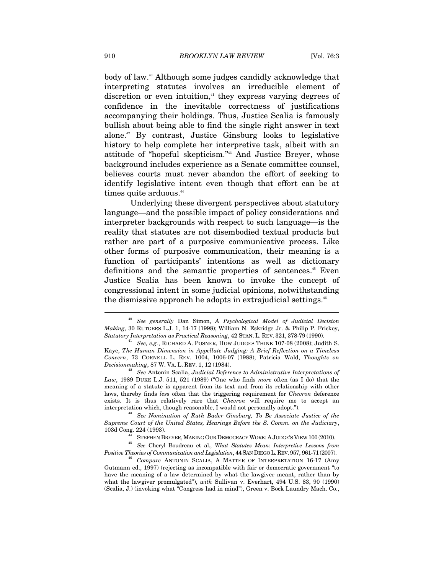body of law.40 Although some judges candidly acknowledge that interpreting statutes involves an irreducible element of discretion or even intuition, $4$  they express varying degrees of confidence in the inevitable correctness of justifications accompanying their holdings. Thus, Justice Scalia is famously bullish about being able to find the single right answer in text alone.42 By contrast, Justice Ginsburg looks to legislative history to help complete her interpretive task, albeit with an attitude of "hopeful skepticism."43 And Justice Breyer, whose background includes experience as a Senate committee counsel, believes courts must never abandon the effort of seeking to identify legislative intent even though that effort can be at times quite arduous.<sup>44</sup>

Underlying these divergent perspectives about statutory language—and the possible impact of policy considerations and interpreter backgrounds with respect to such language—is the reality that statutes are not disembodied textual products but rather are part of a purposive communicative process. Like other forms of purposive communication, their meaning is a function of participants' intentions as well as dictionary definitions and the semantic properties of sentences.<sup>45</sup> Even Justice Scalia has been known to invoke the concept of congressional intent in some judicial opinions, notwithstanding the dismissive approach he adopts in extrajudicial settings.<sup>46</sup>

*Law*, 1989 DUKE L.J. 511, 521 (1989) ("One who finds *more* often (as I do) that the meaning of a statute is apparent from its text and from its relationship with other laws, thereby finds *less* often that the triggering requirement for *Chevron* deference exists. It is thus relatively rare that *Chevron* will require me to accept an interpretation which, though reasonable, I would not personally adopt."). 43 *See Nomination of Ruth Bader Ginsburg, To Be Associate Justice of the* 

*Supreme Court of the United States, Hearings Before the S. Comm. on the Judiciary*,

103d Cong. 224 (1993). 44 STEPHEN BREYER,MAKING OUR DEMOCRACY WORK: <sup>A</sup> JUDGE'S VIEW 100 (2010). 45 *See* Cheryl Boudreau et al., *What Statutes Mean: Interpretive Lessons from Positive Theories of Communication and Legislation*, 44SAN DIEGO L. REV. 957, 961-71 (2007). 46 *Compare* ANTONIN SCALIA, <sup>A</sup> MATTER OF INTERPRETATION 16-17 (Amy

Gutmann ed., 1997) (rejecting as incompatible with fair or democratic government "to have the meaning of a law determined by what the lawgiver meant, rather than by what the lawgiver promulgated"), *with* Sullivan v. Everhart, 494 U.S. 83, 90 (1990) (Scalia, J.) (invoking what "Congress had in mind"), Green v. Bock Laundry Mach. Co.,

<sup>40</sup> *See generally* Dan Simon, *A Psychological Model of Judicial Decision Making*, 30 RUTGERS L.J. 1, 14-17 (1998); William N. Eskridge Jr. & Philip P. Frickey, *Statutory Interpretation as Practical Reasoning*, 42 STAN. L. REV. 321, 378-79 (1990).

<sup>41</sup> *See, e.g.*, RICHARD A. POSNER, HOW JUDGES THINK 107-08 (2008); Judith S. Kaye, *The Human Dimension in Appellate Judging: A Brief Reflection on a Timeless Concern*, 73 CORNELL L. REV. 1004, 1006-07 (1988); Patricia Wald, *Thoughts on Decisionmaking*, 87 W. VA. L. REV. 1, 12 (1984).<br><sup>42</sup> See Antonin Scalia, *Judicial Deference to Administrative Interpretations of*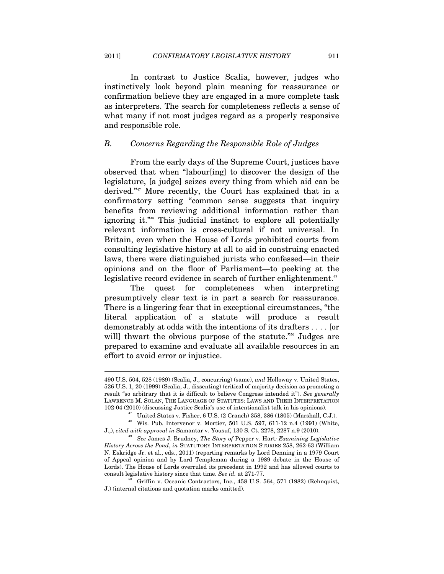In contrast to Justice Scalia, however, judges who instinctively look beyond plain meaning for reassurance or confirmation believe they are engaged in a more complete task as interpreters. The search for completeness reflects a sense of what many if not most judges regard as a properly responsive and responsible role.

## *B. Concerns Regarding the Responsible Role of Judges*

From the early days of the Supreme Court, justices have observed that when "labour[ing] to discover the design of the legislature, [a judge] seizes every thing from which aid can be derived."47 More recently, the Court has explained that in a confirmatory setting "common sense suggests that inquiry benefits from reviewing additional information rather than ignoring it."48 This judicial instinct to explore all potentially relevant information is cross-cultural if not universal. In Britain, even when the House of Lords prohibited courts from consulting legislative history at all to aid in construing enacted laws, there were distinguished jurists who confessed—in their opinions and on the floor of Parliament—to peeking at the legislative record evidence in search of further enlightenment.<sup>49</sup>

The quest for completeness when interpreting presumptively clear text is in part a search for reassurance. There is a lingering fear that in exceptional circumstances, "the literal application of a statute will produce a result demonstrably at odds with the intentions of its drafters . . . . [or will thwart the obvious purpose of the statute."<sup>50</sup> Judges are prepared to examine and evaluate all available resources in an effort to avoid error or injustice.

<sup>490</sup> U.S. 504, 528 (1989) (Scalia, J., concurring) (same), *and* Holloway v. United States, 526 U.S. 1, 20 (1999) (Scalia, J., dissenting) (critical of majority decision as promoting a result "so arbitrary that it is difficult to believe Congress intended it"). *See generally* LAWRENCE M. SOLAN, THE LANGUAGE OF STATUTES: LAWS AND THEIR INTERPRETATION 102-04 (2010) (discussing Justice Scalia's use of intentionalist talk in his opinions). 47 United States v. Fisher, 6 U.S. (2 Cranch) 358, 386 (1805) (Marshall, C.J.).

<sup>&</sup>lt;sup>48</sup> Wis. Pub. Intervenor v. Mortier, 501 U.S. 597, 611-12 n.4 (1991) (White, J.,), *cited with approval in* Samantar v. Yousuf, 130 S. Ct. 2278, 2287 n.9 (2010).

<sup>&</sup>lt;sup>19</sup> See James J. Brudney, *The Story of Pepper v. Hart: Examining Legislative History Across the Pond*, *in* STATUTORY INTERPRETATION STORIES 258, 262-63 (William N. Eskridge Jr. et al., eds., 2011) (reporting remarks by Lord Denning in a 1979 Court of Appeal opinion and by Lord Templeman during a 1989 debate in the House of Lords). The House of Lords overruled its precedent in 1992 and has allowed courts to consult legislative history since that time. *See id.* at 271-77. 50 Griffin v. Oceanic Contractors, Inc., 458 U.S. 564, 571 (1982) (Rehnquist,

J.) (internal citations and quotation marks omitted).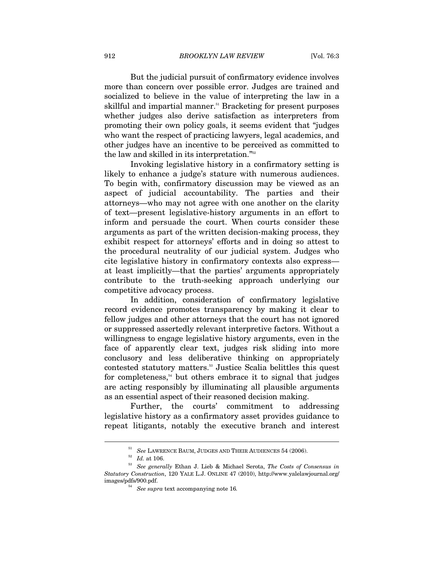But the judicial pursuit of confirmatory evidence involves more than concern over possible error. Judges are trained and socialized to believe in the value of interpreting the law in a skillful and impartial manner.<sup>51</sup> Bracketing for present purposes whether judges also derive satisfaction as interpreters from promoting their own policy goals, it seems evident that "judges who want the respect of practicing lawyers, legal academics, and other judges have an incentive to be perceived as committed to the law and skilled in its interpretation."52

Invoking legislative history in a confirmatory setting is likely to enhance a judge's stature with numerous audiences. To begin with, confirmatory discussion may be viewed as an aspect of judicial accountability. The parties and their attorneys—who may not agree with one another on the clarity of text—present legislative-history arguments in an effort to inform and persuade the court. When courts consider these arguments as part of the written decision-making process, they exhibit respect for attorneys' efforts and in doing so attest to the procedural neutrality of our judicial system. Judges who cite legislative history in confirmatory contexts also express at least implicitly—that the parties' arguments appropriately contribute to the truth-seeking approach underlying our competitive advocacy process.

In addition, consideration of confirmatory legislative record evidence promotes transparency by making it clear to fellow judges and other attorneys that the court has not ignored or suppressed assertedly relevant interpretive factors. Without a willingness to engage legislative history arguments, even in the face of apparently clear text, judges risk sliding into more conclusory and less deliberative thinking on appropriately contested statutory matters.53 Justice Scalia belittles this quest for completeness,<sup> $54$ </sup> but others embrace it to signal that judges are acting responsibly by illuminating all plausible arguments as an essential aspect of their reasoned decision making.

Further, the courts' commitment to addressing legislative history as a confirmatory asset provides guidance to repeat litigants, notably the executive branch and interest

<sup>51</sup> *See* LAWRENCE BAUM, JUDGES AND THEIR AUDIENCES 54 (2006). 52 *Id.* at 106. 53 *See generally* Ethan J. Lieb & Michael Serota, *The Costs of Consensus in Statutory Construction*, 120 YALE L.J. ONLINE 47 (2010), http://www.yalelawjournal.org/ images/pdfs/900.pdf. 54 *See supra* text accompanying note 16*.*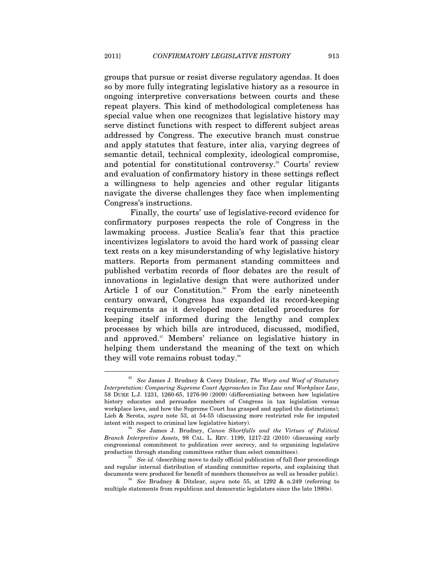groups that pursue or resist diverse regulatory agendas. It does so by more fully integrating legislative history as a resource in ongoing interpretive conversations between courts and these repeat players. This kind of methodological completeness has special value when one recognizes that legislative history may serve distinct functions with respect to different subject areas addressed by Congress. The executive branch must construe and apply statutes that feature, inter alia, varying degrees of semantic detail, technical complexity, ideological compromise, and potential for constitutional controversy.<sup>55</sup> Courts' review and evaluation of confirmatory history in these settings reflect a willingness to help agencies and other regular litigants navigate the diverse challenges they face when implementing Congress's instructions.

Finally, the courts' use of legislative-record evidence for confirmatory purposes respects the role of Congress in the lawmaking process. Justice Scalia's fear that this practice incentivizes legislators to avoid the hard work of passing clear text rests on a key misunderstanding of why legislative history matters. Reports from permanent standing committees and published verbatim records of floor debates are the result of innovations in legislative design that were authorized under Article I of our Constitution.<sup>56</sup> From the early nineteenth century onward, Congress has expanded its record-keeping requirements as it developed more detailed procedures for keeping itself informed during the lengthy and complex processes by which bills are introduced, discussed, modified, and approved.<sup>57</sup> Members' reliance on legislative history in helping them understand the meaning of the text on which they will vote remains robust today.<sup>58</sup>

<sup>55</sup> *See* James J. Brudney & Corey Ditslear, *The Warp and Woof of Statutory Interpretation: Comparing Supreme Court Approaches in Tax Law and Workplace Law*, 58 DUKE L.J. 1231, 1260-65, 1276-90 (2009) (differentiating between how legislative history educates and persuades members of Congress in tax legislation versus workplace laws, and how the Supreme Court has grasped and applied the distinctions); Lieb & Serota, *supra* note 53, at 54-55 (discussing more restricted role for imputed intent with respect to criminal law legislative history). 56 *See* James J. Brudney, *Canon Shortfalls and the Virtues of Political* 

*Branch Interpretive Assets*, 98 CAL. L. REV. 1199, 1217-22 (2010) (discussing early congressional commitment to publication over secrecy, and to organizing legislative production through standing committees rather than select committees).<br><sup>57</sup> See id. (describing move to daily official publication of full floor proceedings

and regular internal distribution of standing committee reports, and explaining that documents were produced for benefit of members themselves as well as broader public).

<sup>&</sup>lt;sup>58</sup> See Brudney & Ditslear, *supra* note 55, at 1292 & n.249 (referring to multiple statements from republican and democratic legislators since the late 1980s).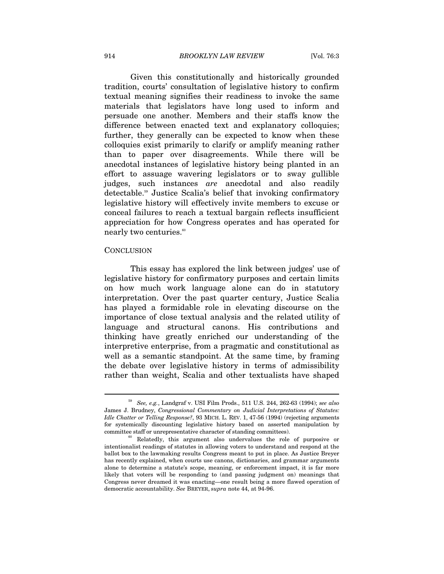Given this constitutionally and historically grounded tradition, courts' consultation of legislative history to confirm textual meaning signifies their readiness to invoke the same materials that legislators have long used to inform and persuade one another. Members and their staffs know the difference between enacted text and explanatory colloquies; further, they generally can be expected to know when these colloquies exist primarily to clarify or amplify meaning rather than to paper over disagreements. While there will be anecdotal instances of legislative history being planted in an effort to assuage wavering legislators or to sway gullible judges, such instances *are* anecdotal and also readily detectable.59 Justice Scalia's belief that invoking confirmatory legislative history will effectively invite members to excuse or conceal failures to reach a textual bargain reflects insufficient appreciation for how Congress operates and has operated for nearly two centuries.<sup>60</sup>

#### **CONCLUSION**

 $\overline{a}$ 

This essay has explored the link between judges' use of legislative history for confirmatory purposes and certain limits on how much work language alone can do in statutory interpretation. Over the past quarter century, Justice Scalia has played a formidable role in elevating discourse on the importance of close textual analysis and the related utility of language and structural canons. His contributions and thinking have greatly enriched our understanding of the interpretive enterprise, from a pragmatic and constitutional as well as a semantic standpoint. At the same time, by framing the debate over legislative history in terms of admissibility rather than weight, Scalia and other textualists have shaped

<sup>59</sup> *See, e.g.*, Landgraf v. USI Film Prods., 511 U.S. 244, 262-63 (1994); *see also*  James J. Brudney, *Congressional Commentary on Judicial Interpretations of Statutes: Idle Chatter or Telling Response?*, 93 MICH. L. REV. 1, 47-56 (1994) (rejecting arguments for systemically discounting legislative history based on asserted manipulation by committee staff or unrepresentative character of standing committees). 60 Relatedly, this argument also undervalues the role of purposive or

intentionalist readings of statutes in allowing voters to understand and respond at the ballot box to the lawmaking results Congress meant to put in place. As Justice Breyer has recently explained, when courts use canons, dictionaries, and grammar arguments alone to determine a statute's scope, meaning, or enforcement impact, it is far more likely that voters will be responding to (and passing judgment on) meanings that Congress never dreamed it was enacting—one result being a more flawed operation of democratic accountability. *See* BREYER, *supra* note 44, at 94-96.